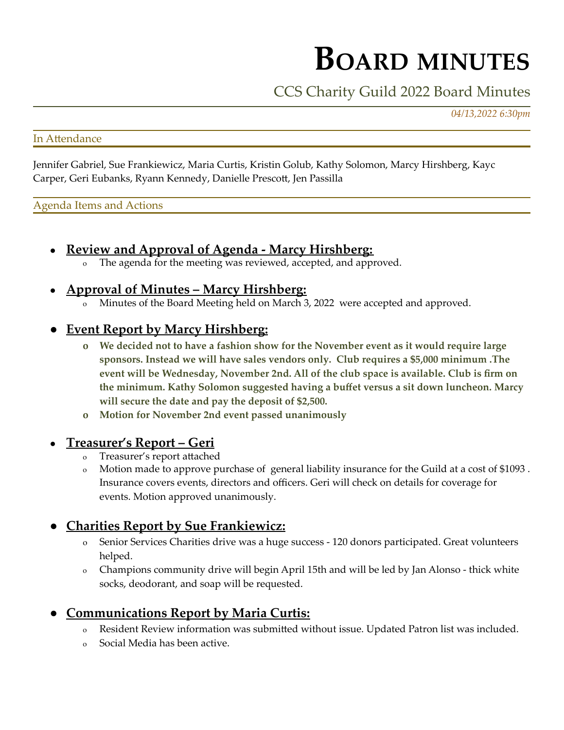# **BOARD MINUTES**

## CCS Charity Guild 2022 Board Minutes

*04/13,2022 6:30pm*

#### In Attendance

Jennifer Gabriel, Sue Frankiewicz, Maria Curtis, Kristin Golub, Kathy Solomon, Marcy Hirshberg, Kayc Carper, Geri Eubanks, Ryann Kennedy, Danielle Prescott, Jen Passilla

#### Agenda Items and Actions

- **Review and Approval of Agenda - Marcy Hirshberg:**
	- o The agenda for the meeting was reviewed, accepted, and approved.

#### ● **Approval of Minutes – Marcy Hirshberg:**

o Minutes of the Board Meeting held on March 3, 2022 were accepted and approved.

### ● **Event Report by Marcy Hirshberg:**

- **o We decided not to have a fashion show for the November event as it would require large sponsors. Instead we will have sales vendors only. Club requires a \$5,000 minimum .The event will be Wednesday, November 2nd. All of the club space is available. Club is firm on the minimum. Kathy Solomon suggested having a buffet versus a sit down luncheon. Marcy will secure the date and pay the deposit of \$2,500.**
- **o Motion for November 2nd event passed unanimously**

#### ● **Treasurer's Report – Geri**

- Treasurer's report attached
- o Motion made to approve purchase of general liability insurance for the Guild at a cost of \$1093 . Insurance covers events, directors and officers. Geri will check on details for coverage for events. Motion approved unanimously.

## ● **Charities Report by Sue Frankiewicz:**

- Senior Services Charities drive was a huge success 120 donors participated. Great volunteers helped.
- o Champions community drive will begin April 15th and will be led by Jan Alonso thick white socks, deodorant, and soap will be requested.

## ● **Communications Report by Maria Curtis:**

- Resident Review information was submitted without issue. Updated Patron list was included.
- o Social Media has been active.